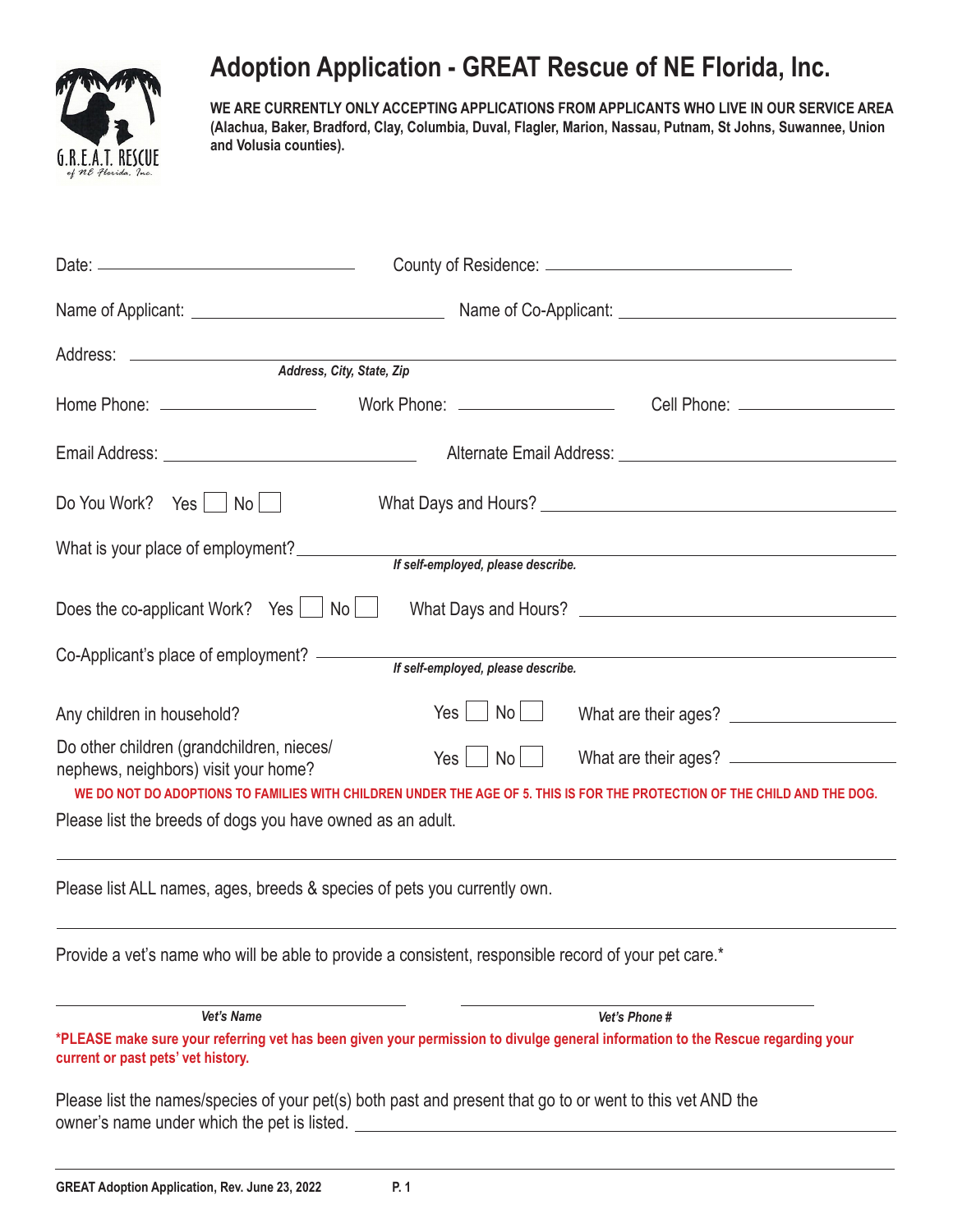

## **Adoption Application - GREAT Rescue of NE Florida, Inc.**

**WE ARE CURRENTLY ONLY ACCEPTING APPLICATIONS FROM APPLICANTS WHO LIVE IN OUR SERVICE AREA (Alachua, Baker, Bradford, Clay, Columbia, Duval, Flagler, Marion, Nassau, Putnam, St Johns, Suwannee, Union and Volusia counties).**

| Do You Work? Yes<br>$\mathsf{No}$                                                 |                                    |                                                                                                                                                                                                                                               |  |  |
|-----------------------------------------------------------------------------------|------------------------------------|-----------------------------------------------------------------------------------------------------------------------------------------------------------------------------------------------------------------------------------------------|--|--|
| What is your place of employment?                                                 | If self-employed, please describe. | <u> 1989 - Johann Stoff, Amerikaansk politiker († 1908)</u>                                                                                                                                                                                   |  |  |
| Does the co-applicant Work? Yes $\Box$ No $\Box$                                  |                                    |                                                                                                                                                                                                                                               |  |  |
| Co-Applicant's place of employment? ——                                            | If self-employed, please describe. |                                                                                                                                                                                                                                               |  |  |
| Any children in household?                                                        | No L<br>Yes                        | What are their ages?<br><u>[</u> [11][11] Matter and their ages?<br><u>[11]</u> Matter and the same state of the state of the state of the state of the state of the state of the state of the state of the state of the state of the state o |  |  |
| Do other children (grandchildren, nieces/<br>nephews, neighbors) visit your home? | Yes  <br>$No$                      | What are their ages?<br>WE DO NOT DO ADOPTIONS TO FAMILIES WITH CHILDREN UNDER THE AGE OF 5. THIS IS FOR THE PROTECTION OF THE CHILD AND THE DOG.                                                                                             |  |  |
| Please list the breeds of dogs you have owned as an adult.                        |                                    |                                                                                                                                                                                                                                               |  |  |

Please list ALL names, ages, breeds & species of pets you currently own.

Provide a vet's name who will be able to provide a consistent, responsible record of your pet care.\*

*Vet's Name Vet's Phone #*

**\*PLEASE make sure your referring vet has been given your permission to divulge general information to the Rescue regarding your current or past pets' vet history.**

Please list the names/species of your pet(s) both past and present that go to or went to this vet AND the owner's name under which the pet is listed.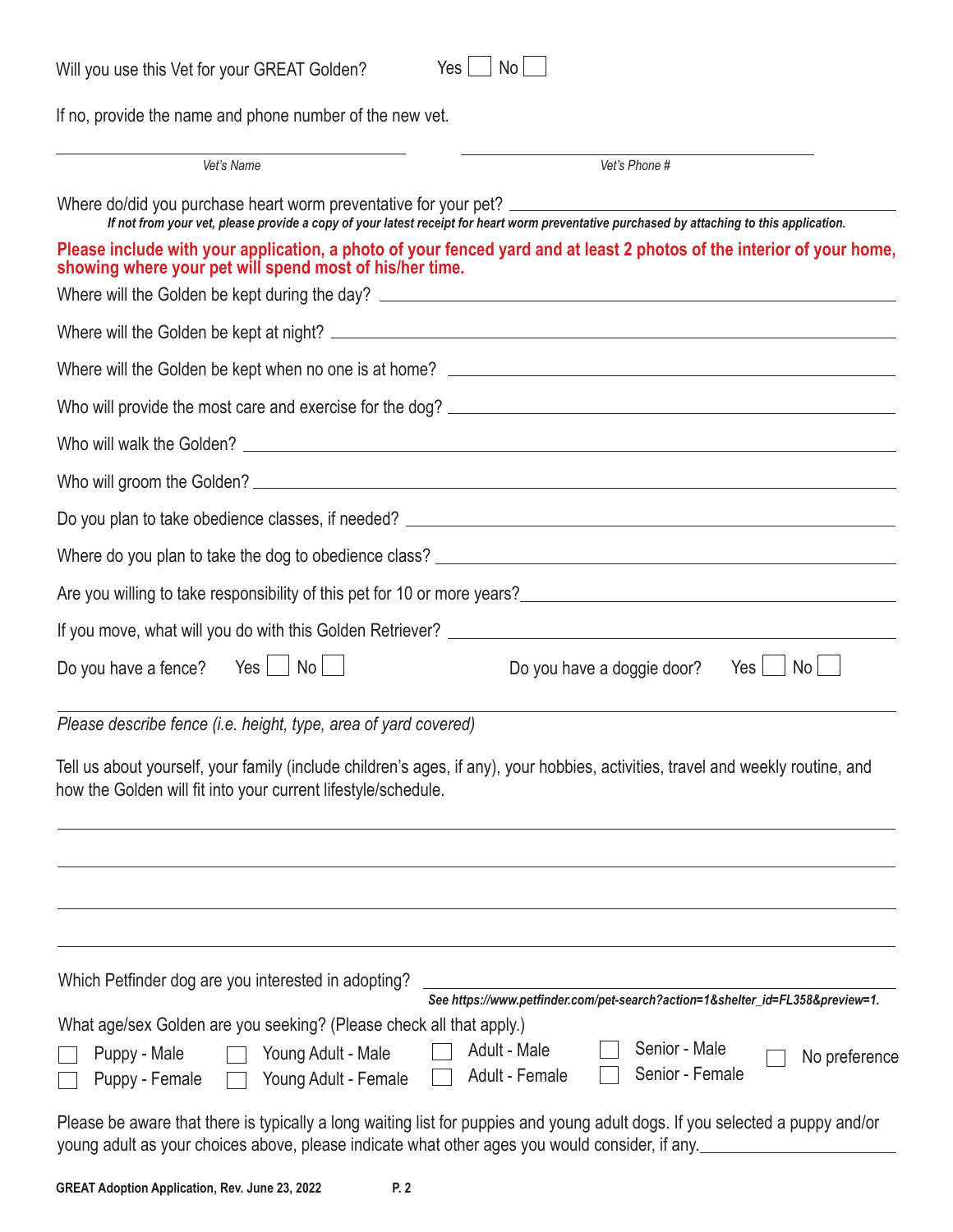| $Yes \nightharpoonup No$<br>Will you use this Vet for your GREAT Golden? |  |
|--------------------------------------------------------------------------|--|
|--------------------------------------------------------------------------|--|

| Y<br>es | N٥ |  |
|---------|----|--|
|---------|----|--|

If no, provide the name and phone number of the new vet.

| Vet's Name                                                                                                                                                                                       | Vet's Phone #                                                                                                                                                                                       |  |  |  |
|--------------------------------------------------------------------------------------------------------------------------------------------------------------------------------------------------|-----------------------------------------------------------------------------------------------------------------------------------------------------------------------------------------------------|--|--|--|
| Where do/did you purchase heart worm preventative for your pet?                                                                                                                                  | If not from your vet, please provide a copy of your latest receipt for heart worm preventative purchased by attaching to this application.                                                          |  |  |  |
| showing where your pet will spend most of his/her time.                                                                                                                                          | Please include with your application, a photo of your fenced yard and at least 2 photos of the interior of your home,                                                                               |  |  |  |
|                                                                                                                                                                                                  |                                                                                                                                                                                                     |  |  |  |
|                                                                                                                                                                                                  |                                                                                                                                                                                                     |  |  |  |
|                                                                                                                                                                                                  |                                                                                                                                                                                                     |  |  |  |
|                                                                                                                                                                                                  |                                                                                                                                                                                                     |  |  |  |
|                                                                                                                                                                                                  |                                                                                                                                                                                                     |  |  |  |
|                                                                                                                                                                                                  |                                                                                                                                                                                                     |  |  |  |
|                                                                                                                                                                                                  |                                                                                                                                                                                                     |  |  |  |
|                                                                                                                                                                                                  |                                                                                                                                                                                                     |  |  |  |
|                                                                                                                                                                                                  | Are you willing to take responsibility of this pet for 10 or more years?<br><u>Example 20 non-and the manual contract of the substance of the set of the set of the set of the set of the set o</u> |  |  |  |
|                                                                                                                                                                                                  |                                                                                                                                                                                                     |  |  |  |
| Do you have a fence? Yes $\Box$ No $\Box$                                                                                                                                                        | Do you have a doggie door? Yes $\Box$<br>No l                                                                                                                                                       |  |  |  |
| Please describe fence (i.e. height, type, area of yard covered)                                                                                                                                  |                                                                                                                                                                                                     |  |  |  |
| Tell us about yourself, your family (include children's ages, if any), your hobbies, activities, travel and weekly routine, and<br>how the Golden will fit into your current lifestyle/schedule. |                                                                                                                                                                                                     |  |  |  |
|                                                                                                                                                                                                  |                                                                                                                                                                                                     |  |  |  |
| Which Petfinder dog are you interested in adopting?<br>What age/sex Golden are you seeking? (Please check all that apply.)                                                                       | See https://www.petfinder.com/pet-search?action=1&shelter_id=FL358&preview=1.                                                                                                                       |  |  |  |
| Puppy - Male<br>Young Adult - Male<br>Puppy - Female<br>Young Adult - Female                                                                                                                     | Senior - Male<br>Adult - Male<br>No preference<br>Senior - Female<br>Adult - Female                                                                                                                 |  |  |  |
|                                                                                                                                                                                                  | Plasse he sware that there is typically a long waiting list for punnies and young adult dons If you selected a nunny and/or                                                                         |  |  |  |

Please be aware that there is typically a long waiting list for puppies and young adult dogs. If you selected a puppy and/or young adult as your choices above, please indicate what other ages you would consider, if any.